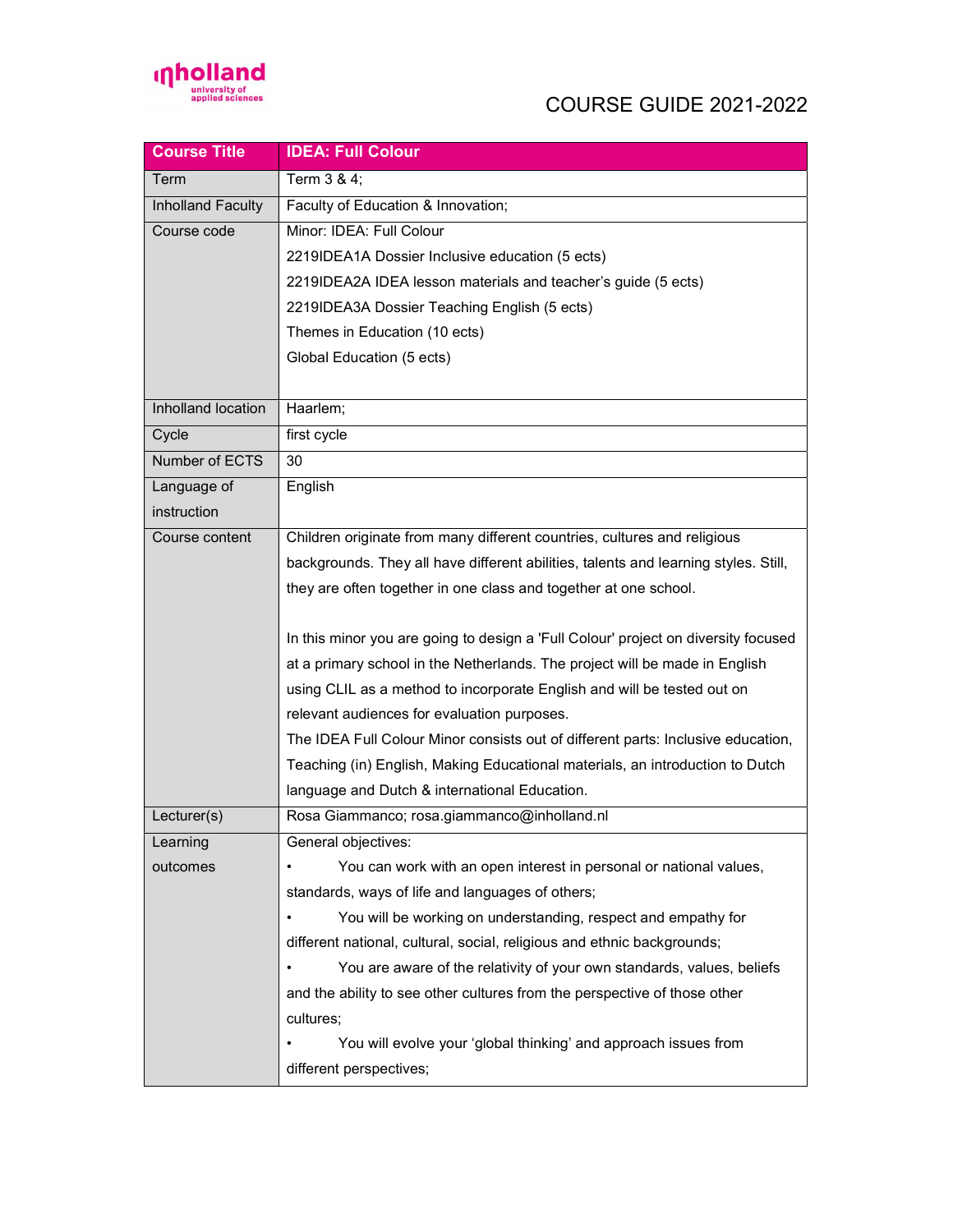

## COURSE GUIDE 2021-2022

| <b>Course Title</b> | <b>IDEA: Full Colour</b>                                                            |
|---------------------|-------------------------------------------------------------------------------------|
| Term                | Term 3 & 4;                                                                         |
| Inholland Faculty   | Faculty of Education & Innovation;                                                  |
| Course code         | Minor: IDEA: Full Colour                                                            |
|                     | 2219IDEA1A Dossier Inclusive education (5 ects)                                     |
|                     | 2219IDEA2A IDEA lesson materials and teacher's guide (5 ects)                       |
|                     | 2219IDEA3A Dossier Teaching English (5 ects)                                        |
|                     | Themes in Education (10 ects)                                                       |
|                     | Global Education (5 ects)                                                           |
|                     |                                                                                     |
| Inholland location  | Haarlem;                                                                            |
| Cycle               | first cycle                                                                         |
| Number of ECTS      | 30                                                                                  |
| Language of         | English                                                                             |
| instruction         |                                                                                     |
| Course content      | Children originate from many different countries, cultures and religious            |
|                     | backgrounds. They all have different abilities, talents and learning styles. Still, |
|                     | they are often together in one class and together at one school.                    |
|                     |                                                                                     |
|                     | In this minor you are going to design a 'Full Colour' project on diversity focused  |
|                     | at a primary school in the Netherlands. The project will be made in English         |
|                     | using CLIL as a method to incorporate English and will be tested out on             |
|                     | relevant audiences for evaluation purposes.                                         |
|                     | The IDEA Full Colour Minor consists out of different parts: Inclusive education,    |
|                     | Teaching (in) English, Making Educational materials, an introduction to Dutch       |
|                     | language and Dutch & international Education.                                       |
| Lecturer(s)         | Rosa Giammanco; rosa.giammanco@inholland.nl                                         |
| Learning            | General objectives:                                                                 |
| outcomes            | You can work with an open interest in personal or national values,                  |
|                     | standards, ways of life and languages of others;                                    |
|                     | You will be working on understanding, respect and empathy for                       |
|                     | different national, cultural, social, religious and ethnic backgrounds;             |
|                     | You are aware of the relativity of your own standards, values, beliefs              |
|                     | and the ability to see other cultures from the perspective of those other           |
|                     | cultures;                                                                           |
|                     | You will evolve your 'global thinking' and approach issues from                     |
|                     | different perspectives;                                                             |